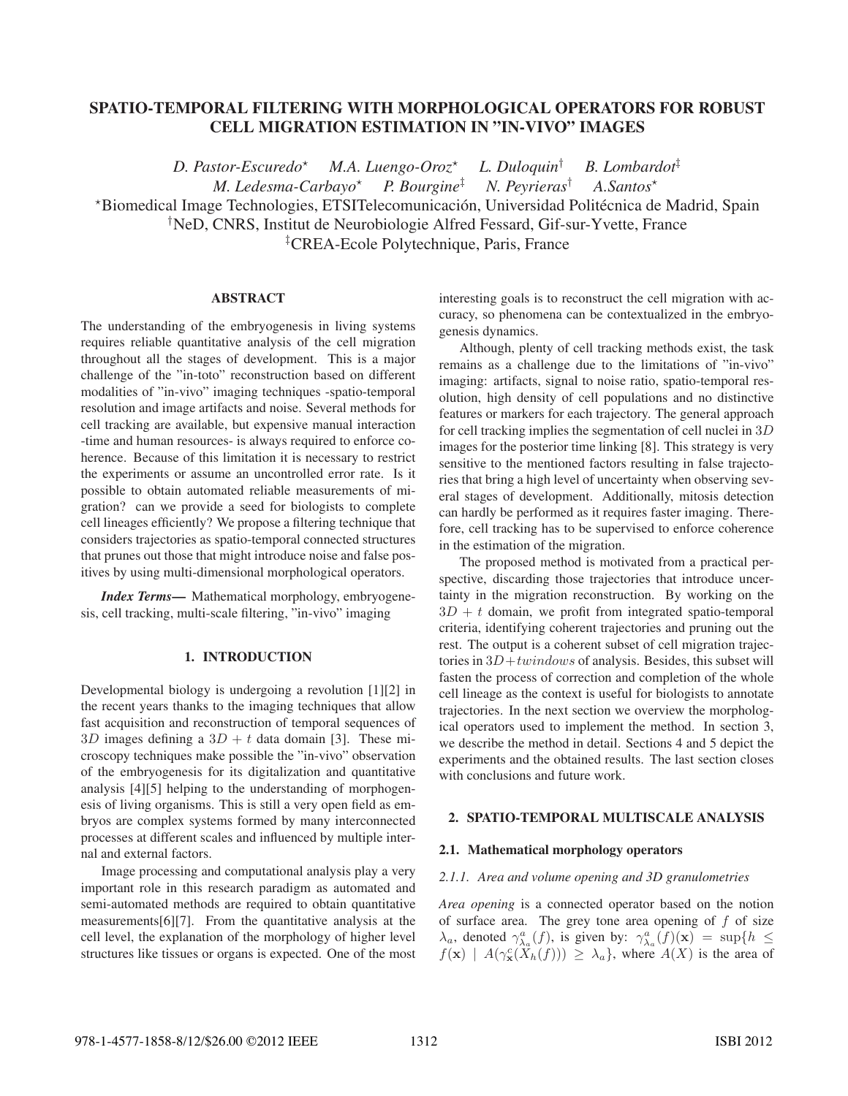# SPATIO-TEMPORAL FILTERING WITH MORPHOLOGICAL OPERATORS FOR ROBUST CELL MIGRATION ESTIMATION IN "IN-VIVO" IMAGES

*D. Pastor-Escuredo*- *M.A. Luengo-Oroz*- *L. Duloquin*† *B. Lombardot*‡ *M. Ledesma-Carbayo*-*P. Bourgine<sup>‡</sup> N. Peyrieras<sup>†</sup>* A Santos<sup>\*</sup> \*Biomedical Image Technologies, ETSITelecomunicación, Universidad Politécnica de Madrid, Spain † NeD, CNRS, Institut de Neurobiologie Alfred Fessard, Gif-sur-Yvette, France ‡ CREA-Ecole Polytechnique, Paris, France

## ABSTRACT

The understanding of the embryogenesis in living systems requires reliable quantitative analysis of the cell migration throughout all the stages of development. This is a major challenge of the "in-toto" reconstruction based on different modalities of "in-vivo" imaging techniques -spatio-temporal resolution and image artifacts and noise. Several methods for cell tracking are available, but expensive manual interaction -time and human resources- is always required to enforce coherence. Because of this limitation it is necessary to restrict the experiments or assume an uncontrolled error rate. Is it possible to obtain automated reliable measurements of migration? can we provide a seed for biologists to complete cell lineages efficiently? We propose a filtering technique that considers trajectories as spatio-temporal connected structures that prunes out those that might introduce noise and false positives by using multi-dimensional morphological operators.

*Index Terms*— Mathematical morphology, embryogenesis, cell tracking, multi-scale filtering, "in-vivo" imaging

#### 1. INTRODUCTION

Developmental biology is undergoing a revolution [1][2] in the recent years thanks to the imaging techniques that allow fast acquisition and reconstruction of temporal sequences of 3*D* images defining a  $3D + t$  data domain [3]. These microscopy techniques make possible the "in-vivo" observation of the embryogenesis for its digitalization and quantitative analysis [4][5] helping to the understanding of morphogenesis of living organisms. This is still a very open field as embryos are complex systems formed by many interconnected processes at different scales and influenced by multiple internal and external factors.

Image processing and computational analysis play a very important role in this research paradigm as automated and semi-automated methods are required to obtain quantitative measurements[6][7]. From the quantitative analysis at the cell level, the explanation of the morphology of higher level structures like tissues or organs is expected. One of the most

interesting goals is to reconstruct the cell migration with accuracy, so phenomena can be contextualized in the embryogenesis dynamics.

Although, plenty of cell tracking methods exist, the task remains as a challenge due to the limitations of "in-vivo" imaging: artifacts, signal to noise ratio, spatio-temporal resolution, high density of cell populations and no distinctive features or markers for each trajectory. The general approach for cell tracking implies the segmentation of cell nuclei in 3*D* images for the posterior time linking [8]. This strategy is very sensitive to the mentioned factors resulting in false trajectories that bring a high level of uncertainty when observing several stages of development. Additionally, mitosis detection can hardly be performed as it requires faster imaging. Therefore, cell tracking has to be supervised to enforce coherence in the estimation of the migration.

The proposed method is motivated from a practical perspective, discarding those trajectories that introduce uncertainty in the migration reconstruction. By working on the  $3D + t$  domain, we profit from integrated spatio-temporal criteria, identifying coherent trajectories and pruning out the rest. The output is a coherent subset of cell migration trajectories in 3*D*+*twindows* of analysis. Besides, this subset will fasten the process of correction and completion of the whole cell lineage as the context is useful for biologists to annotate trajectories. In the next section we overview the morphological operators used to implement the method. In section 3, we describe the method in detail. Sections 4 and 5 depict the experiments and the obtained results. The last section closes with conclusions and future work.

#### 2. SPATIO-TEMPORAL MULTISCALE ANALYSIS

#### 2.1. Mathematical morphology operators

#### *2.1.1. Area and volume opening and 3D granulometries*

*Area opening* is a connected operator based on the notion of surface area. The grey tone area opening of *f* of size  $\lambda_a$ , denoted  $\gamma_{\lambda_a}^a(f)$ , is given by:  $\gamma_{\lambda_a}^a(f)(\mathbf{x}) = \sup\{h \leq$  $f(\mathbf{x})$  |  $A(\gamma_{\mathbf{x}}^c(\hat{X}_h(f))) \geq \lambda_a$ , where  $A(X)$  is the area of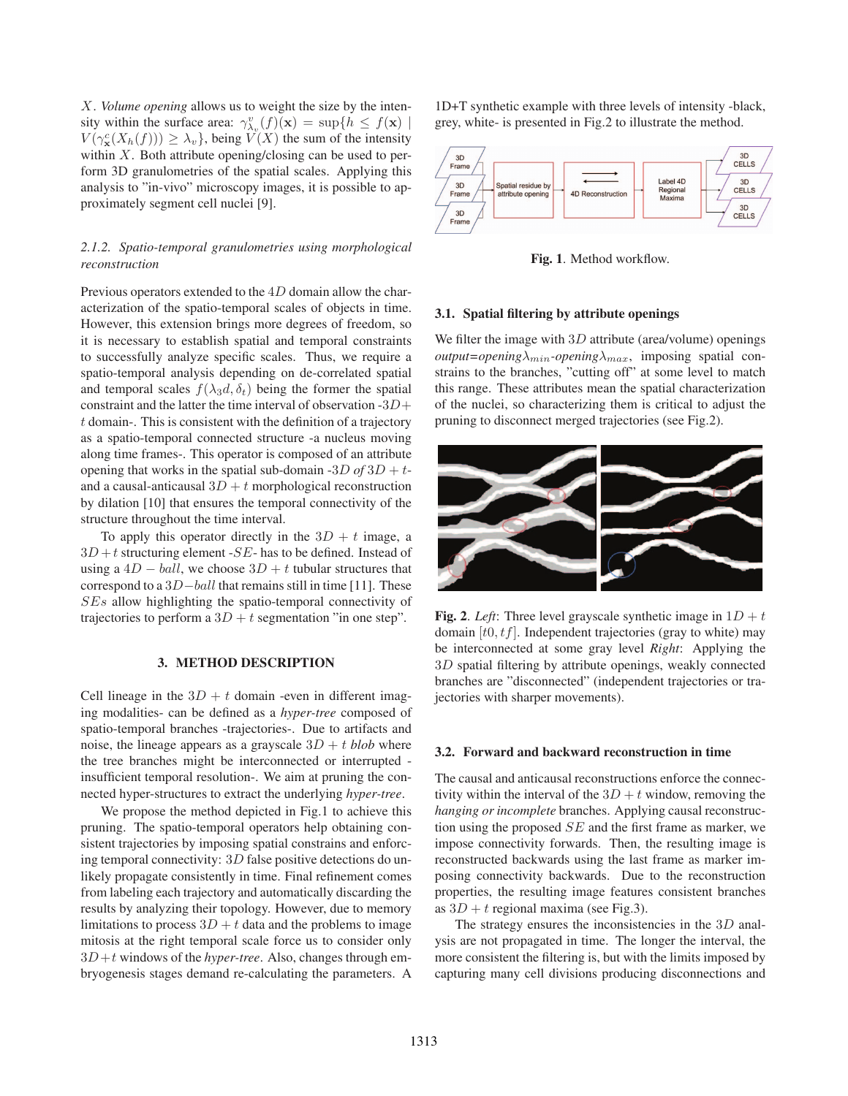*X*. *Volume opening* allows us to weight the size by the intensity within the surface area:  $\gamma_{\lambda_v}^v(f)(\mathbf{x}) = \sup\{h \le f(\mathbf{x})\mid \mathbf{x}\}$  $V(\gamma_{\mathbf{x}}^c(X_h(f))) \geq \lambda_v$ , being  $V(X)$  the sum of the intensity within *X*. Both attribute opening/closing can be used to perform 3D granulometries of the spatial scales. Applying this analysis to "in-vivo" microscopy images, it is possible to approximately segment cell nuclei [9].

# *2.1.2. Spatio-temporal granulometries using morphological reconstruction*

Previous operators extended to the 4*D* domain allow the characterization of the spatio-temporal scales of objects in time. However, this extension brings more degrees of freedom, so it is necessary to establish spatial and temporal constraints to successfully analyze specific scales. Thus, we require a spatio-temporal analysis depending on de-correlated spatial and temporal scales  $f(\lambda_3 d, \delta_t)$  being the former the spatial constraint and the latter the time interval of observation -3*D*+ *t* domain-. This is consistent with the definition of a trajectory as a spatio-temporal connected structure -a nucleus moving along time frames-. This operator is composed of an attribute opening that works in the spatial sub-domain  $-3D$  *of*  $3D + t$ and a causal-anticausal  $3D + t$  morphological reconstruction by dilation [10] that ensures the temporal connectivity of the structure throughout the time interval.

To apply this operator directly in the  $3D + t$  image, a  $3D + t$  structuring element -*SE*- has to be defined. Instead of using a  $4D - ball$ , we choose  $3D + t$  tubular structures that correspond to a 3*D*−*ball* that remains still in time [11]. These *SEs* allow highlighting the spatio-temporal connectivity of trajectories to perform a  $3D + t$  segmentation "in one step".

# 3. METHOD DESCRIPTION

Cell lineage in the  $3D + t$  domain -even in different imaging modalities- can be defined as a *hyper-tree* composed of spatio-temporal branches -trajectories-. Due to artifacts and noise, the lineage appears as a grayscale  $3D + t$  *blob* where the tree branches might be interconnected or interrupted insufficient temporal resolution-. We aim at pruning the connected hyper-structures to extract the underlying *hyper-tree*.

We propose the method depicted in Fig.1 to achieve this pruning. The spatio-temporal operators help obtaining consistent trajectories by imposing spatial constrains and enforcing temporal connectivity: 3*D* false positive detections do unlikely propagate consistently in time. Final refinement comes from labeling each trajectory and automatically discarding the results by analyzing their topology. However, due to memory limitations to process  $3D + t$  data and the problems to image mitosis at the right temporal scale force us to consider only 3*D*+*t* windows of the *hyper-tree*. Also, changes through embryogenesis stages demand re-calculating the parameters. A 1D+T synthetic example with three levels of intensity -black, grey, white- is presented in Fig.2 to illustrate the method.



Fig. 1. Method workflow.

#### 3.1. Spatial filtering by attribute openings

We filter the image with 3*D* attribute (area/volume) openings  $output = opening\lambda_{min}$ -opening<sub> $\lambda_{max}$ </sub>, imposing spatial constrains to the branches, "cutting off" at some level to match this range. These attributes mean the spatial characterization of the nuclei, so characterizing them is critical to adjust the pruning to disconnect merged trajectories (see Fig.2).



**Fig. 2.** *Left*: Three level grayscale synthetic image in  $1D + t$ domain [*t*0*, tf*]. Independent trajectories (gray to white) may be interconnected at some gray level *Right*: Applying the 3*D* spatial filtering by attribute openings, weakly connected branches are "disconnected" (independent trajectories or trajectories with sharper movements).

### 3.2. Forward and backward reconstruction in time

The causal and anticausal reconstructions enforce the connectivity within the interval of the  $3D + t$  window, removing the *hanging or incomplete* branches. Applying causal reconstruction using the proposed *SE* and the first frame as marker, we impose connectivity forwards. Then, the resulting image is reconstructed backwards using the last frame as marker imposing connectivity backwards. Due to the reconstruction properties, the resulting image features consistent branches as  $3D + t$  regional maxima (see Fig.3).

The strategy ensures the inconsistencies in the 3*D* analysis are not propagated in time. The longer the interval, the more consistent the filtering is, but with the limits imposed by capturing many cell divisions producing disconnections and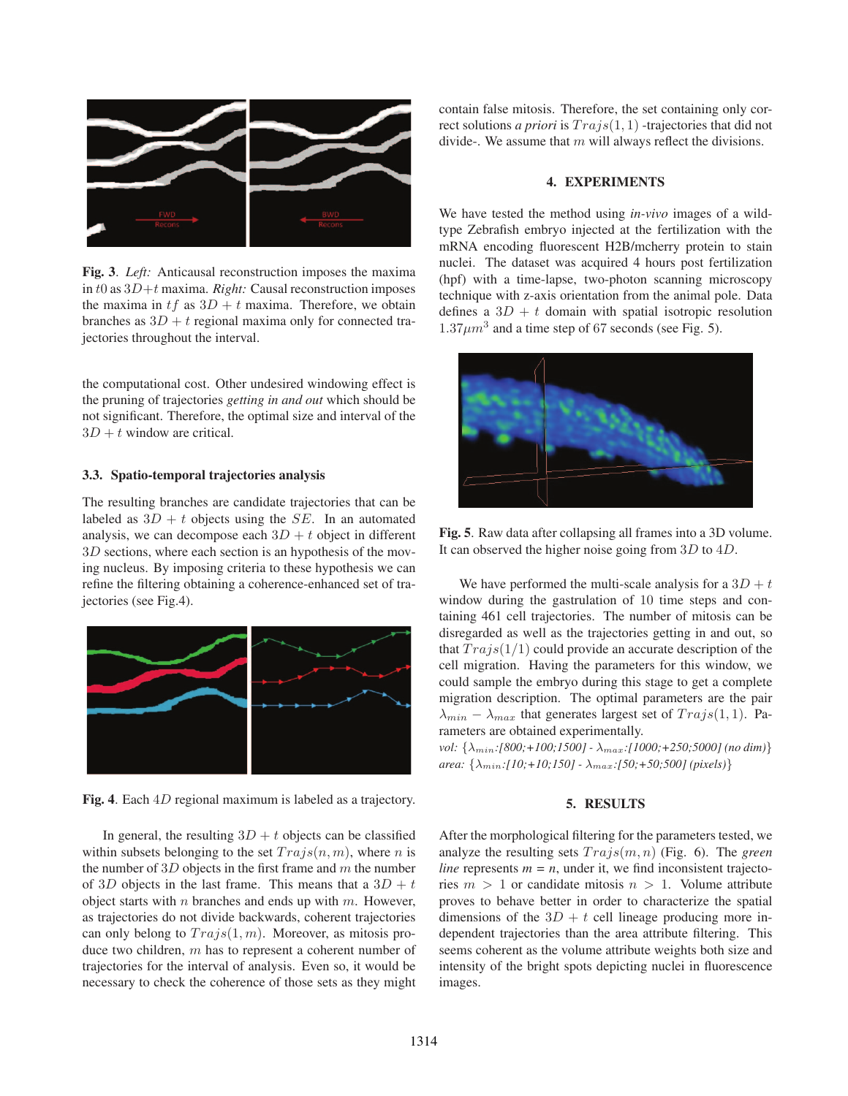

Fig. 3. *Left:* Anticausal reconstruction imposes the maxima in *t*0 as 3*D*+*t* maxima. *Right:* Causal reconstruction imposes the maxima in  $tf$  as  $3D + t$  maxima. Therefore, we obtain branches as  $3D + t$  regional maxima only for connected trajectories throughout the interval.

the computational cost. Other undesired windowing effect is the pruning of trajectories *getting in and out* which should be not significant. Therefore, the optimal size and interval of the  $3D + t$  window are critical.

# 3.3. Spatio-temporal trajectories analysis

The resulting branches are candidate trajectories that can be labeled as  $3D + t$  objects using the *SE*. In an automated analysis, we can decompose each  $3D + t$  object in different 3*D* sections, where each section is an hypothesis of the moving nucleus. By imposing criteria to these hypothesis we can refine the filtering obtaining a coherence-enhanced set of trajectories (see Fig.4).



Fig. 4. Each 4*D* regional maximum is labeled as a trajectory.

In general, the resulting  $3D + t$  objects can be classified within subsets belonging to the set  $Trajs(n, m)$ , where *n* is the number of 3*D* objects in the first frame and *m* the number of 3*D* objects in the last frame. This means that a  $3D + t$ object starts with *n* branches and ends up with *m*. However, as trajectories do not divide backwards, coherent trajectories can only belong to *T rajs*(1*, m*). Moreover, as mitosis produce two children, *m* has to represent a coherent number of trajectories for the interval of analysis. Even so, it would be necessary to check the coherence of those sets as they might

contain false mitosis. Therefore, the set containing only correct solutions *a priori* is *T rajs*(1*,* 1) -trajectories that did not divide-. We assume that *m* will always reflect the divisions.

#### 4. EXPERIMENTS

We have tested the method using *in-vivo* images of a wildtype Zebrafish embryo injected at the fertilization with the mRNA encoding fluorescent H2B/mcherry protein to stain nuclei. The dataset was acquired 4 hours post fertilization (hpf) with a time-lapse, two-photon scanning microscopy technique with z-axis orientation from the animal pole. Data defines a  $3D + t$  domain with spatial isotropic resolution  $1.37 \mu m^3$  and a time step of 67 seconds (see Fig. 5).



Fig. 5. Raw data after collapsing all frames into a 3D volume. It can observed the higher noise going from 3*D* to 4*D*.

We have performed the multi-scale analysis for a  $3D + t$ window during the gastrulation of 10 time steps and containing 461 cell trajectories. The number of mitosis can be disregarded as well as the trajectories getting in and out, so that  $Trajs(1/1)$  could provide an accurate description of the cell migration. Having the parameters for this window, we could sample the embryo during this stage to get a complete migration description. The optimal parameters are the pair  $\lambda_{min} - \lambda_{max}$  that generates largest set of *Trajs*(1, 1). Parameters are obtained experimentally.

*vol:* {λmin*:[800;+100;1500] -* λmax*:[1000;+250;5000] (no dim)*} *area:* {λmin*:[10;+10;150] -* λmax*:[50;+50;500] (pixels)*}

#### 5. RESULTS

After the morphological filtering for the parameters tested, we analyze the resulting sets *T rajs*(*m, n*) (Fig. 6). The *green line* represents  $m = n$ , under it, we find inconsistent trajectories  $m > 1$  or candidate mitosis  $n > 1$ . Volume attribute proves to behave better in order to characterize the spatial dimensions of the  $3D + t$  cell lineage producing more independent trajectories than the area attribute filtering. This seems coherent as the volume attribute weights both size and intensity of the bright spots depicting nuclei in fluorescence images.